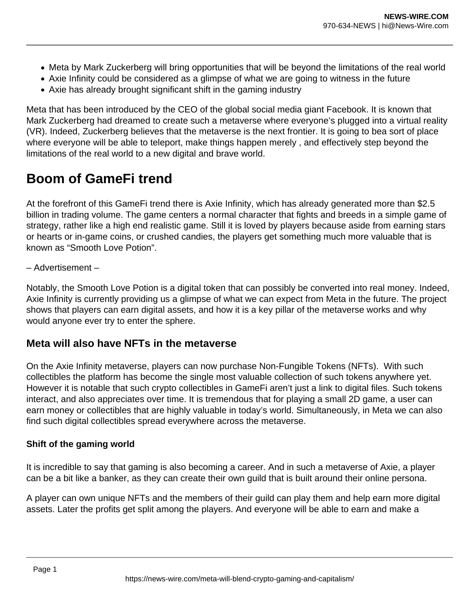- Meta by Mark Zuckerberg will bring opportunities that will be beyond the limitations of the real world
- Axie Infinity could be considered as a glimpse of what we are going to witness in the future
- Axie has already brought significant shift in the gaming industry

Meta that has been introduced by the CEO of the global social media giant Facebook. It is known that Mark Zuckerberg had dreamed to create such a metaverse where everyone's plugged into a virtual reality (VR). Indeed, Zuckerberg believes that the metaverse is the next frontier. It is going to bea sort of place where everyone will be able to teleport, make things happen merely , and effectively step beyond the limitations of the real world to a new digital and brave world.

## **Boom of GameFi trend**

At the forefront of this GameFi trend there is Axie Infinity, which has already generated more than \$2.5 billion in trading volume. The game centers a normal character that fights and breeds in a simple game of strategy, rather like a high end realistic game. Still it is loved by players because aside from earning stars or hearts or in-game coins, or crushed candies, the players get something much more valuable that is known as "Smooth Love Potion".

– Advertisement –

Notably, the Smooth Love Potion is a digital token that can possibly be converted into real money. Indeed, Axie Infinity is currently providing us a glimpse of what we can expect from Meta in the future. The project shows that players can earn digital assets, and how it is a key pillar of the metaverse works and why would anyone ever try to enter the sphere.

## **Meta will also have NFTs in the metaverse**

On the Axie Infinity metaverse, players can now purchase Non-Fungible Tokens (NFTs). With such collectibles the platform has become the single most valuable collection of such tokens anywhere yet. However it is notable that such crypto collectibles in GameFi aren't just a link to digital files. Such tokens interact, and also appreciates over time. It is tremendous that for playing a small 2D game, a user can earn money or collectibles that are highly valuable in today's world. Simultaneously, in Meta we can also find such digital collectibles spread everywhere across the metaverse.

## **Shift of the gaming world**

It is incredible to say that gaming is also becoming a career. And in such a metaverse of Axie, a player can be a bit like a banker, as they can create their own guild that is built around their online persona.

A player can own unique NFTs and the members of their guild can play them and help earn more digital assets. Later the profits get split among the players. And everyone will be able to earn and make a